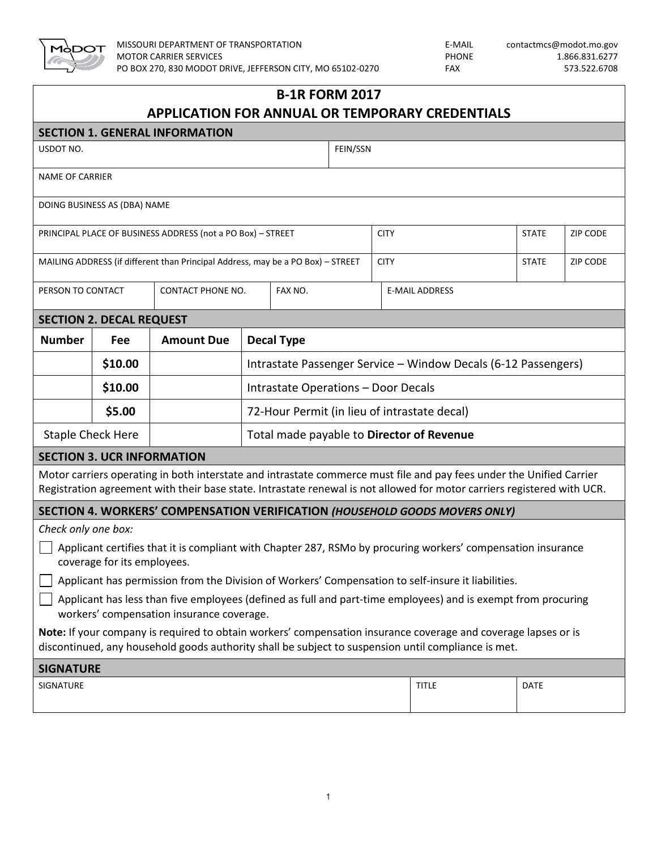

| <b>B-1R FORM 2017</b><br><b>APPLICATION FOR ANNUAL OR TEMPORARY CREDENTIALS</b>                                                                                                                                                                 |                              |                                           |                                                                |         |          |             |                                                                                                                                                                                                                       |              |                 |  |
|-------------------------------------------------------------------------------------------------------------------------------------------------------------------------------------------------------------------------------------------------|------------------------------|-------------------------------------------|----------------------------------------------------------------|---------|----------|-------------|-----------------------------------------------------------------------------------------------------------------------------------------------------------------------------------------------------------------------|--------------|-----------------|--|
| <b>SECTION 1. GENERAL INFORMATION</b>                                                                                                                                                                                                           |                              |                                           |                                                                |         |          |             |                                                                                                                                                                                                                       |              |                 |  |
| USDOT NO.                                                                                                                                                                                                                                       |                              |                                           |                                                                |         | FEIN/SSN |             |                                                                                                                                                                                                                       |              |                 |  |
| <b>NAME OF CARRIER</b>                                                                                                                                                                                                                          |                              |                                           |                                                                |         |          |             |                                                                                                                                                                                                                       |              |                 |  |
|                                                                                                                                                                                                                                                 | DOING BUSINESS AS (DBA) NAME |                                           |                                                                |         |          |             |                                                                                                                                                                                                                       |              |                 |  |
| PRINCIPAL PLACE OF BUSINESS ADDRESS (not a PO Box) - STREET                                                                                                                                                                                     |                              |                                           |                                                                |         |          | <b>CITY</b> |                                                                                                                                                                                                                       | <b>STATE</b> | <b>ZIP CODE</b> |  |
| MAILING ADDRESS (if different than Principal Address, may be a PO Box) - STREET<br><b>CITY</b><br><b>STATE</b>                                                                                                                                  |                              |                                           |                                                                |         |          |             | <b>ZIP CODE</b>                                                                                                                                                                                                       |              |                 |  |
| PERSON TO CONTACT                                                                                                                                                                                                                               |                              | CONTACT PHONE NO.                         |                                                                | FAX NO. |          |             | <b>E-MAIL ADDRESS</b>                                                                                                                                                                                                 |              |                 |  |
| <b>SECTION 2. DECAL REQUEST</b>                                                                                                                                                                                                                 |                              |                                           |                                                                |         |          |             |                                                                                                                                                                                                                       |              |                 |  |
| <b>Number</b>                                                                                                                                                                                                                                   | Fee                          | <b>Amount Due</b>                         | <b>Decal Type</b>                                              |         |          |             |                                                                                                                                                                                                                       |              |                 |  |
|                                                                                                                                                                                                                                                 | \$10.00                      |                                           | Intrastate Passenger Service - Window Decals (6-12 Passengers) |         |          |             |                                                                                                                                                                                                                       |              |                 |  |
|                                                                                                                                                                                                                                                 | \$10.00                      |                                           | Intrastate Operations - Door Decals                            |         |          |             |                                                                                                                                                                                                                       |              |                 |  |
|                                                                                                                                                                                                                                                 | \$5.00                       |                                           | 72-Hour Permit (in lieu of intrastate decal)                   |         |          |             |                                                                                                                                                                                                                       |              |                 |  |
| <b>Staple Check Here</b>                                                                                                                                                                                                                        |                              | Total made payable to Director of Revenue |                                                                |         |          |             |                                                                                                                                                                                                                       |              |                 |  |
| <b>SECTION 3. UCR INFORMATION</b>                                                                                                                                                                                                               |                              |                                           |                                                                |         |          |             |                                                                                                                                                                                                                       |              |                 |  |
| Motor carriers operating in both interstate and intrastate commerce must file and pay fees under the Unified Carrier<br>Registration agreement with their base state. Intrastate renewal is not allowed for motor carriers registered with UCR. |                              |                                           |                                                                |         |          |             |                                                                                                                                                                                                                       |              |                 |  |
| SECTION 4. WORKERS' COMPENSATION VERIFICATION (HOUSEHOLD GOODS MOVERS ONLY)                                                                                                                                                                     |                              |                                           |                                                                |         |          |             |                                                                                                                                                                                                                       |              |                 |  |
| Check only one box:                                                                                                                                                                                                                             |                              |                                           |                                                                |         |          |             |                                                                                                                                                                                                                       |              |                 |  |
| Applicant certifies that it is compliant with Chapter 287, RSMo by procuring workers' compensation insurance<br>coverage for its employees.                                                                                                     |                              |                                           |                                                                |         |          |             |                                                                                                                                                                                                                       |              |                 |  |
| Applicant has permission from the Division of Workers' Compensation to self-insure it liabilities.                                                                                                                                              |                              |                                           |                                                                |         |          |             |                                                                                                                                                                                                                       |              |                 |  |
| Applicant has less than five employees (defined as full and part-time employees) and is exempt from procuring<br>workers' compensation insurance coverage.                                                                                      |                              |                                           |                                                                |         |          |             |                                                                                                                                                                                                                       |              |                 |  |
|                                                                                                                                                                                                                                                 |                              |                                           |                                                                |         |          |             | Note: If your company is required to obtain workers' compensation insurance coverage and coverage lapses or is<br>discontinued, any household goods authority shall be subject to suspension until compliance is met. |              |                 |  |
| <b>SIGNATURE</b>                                                                                                                                                                                                                                |                              |                                           |                                                                |         |          |             |                                                                                                                                                                                                                       |              |                 |  |
| SIGNATURE                                                                                                                                                                                                                                       |                              |                                           |                                                                |         |          |             | <b>TITLE</b>                                                                                                                                                                                                          | <b>DATE</b>  |                 |  |